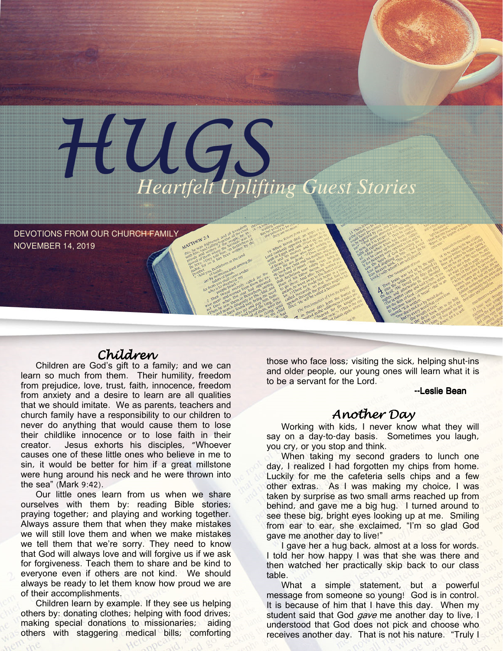DEVOTIONS FROM OUR CHURCH FAMILY NOVEMBER 14, 2019

## Children

HUGS *Heartfelt Uplifting Guest Stories* 

Children are God's gift to a family; and we can learn so much from them. Their humility, freedom from prejudice, love, trust, faith, innocence, freedom from anxiety and a desire to learn are all qualities that we should imitate. We as parents, teachers and church family have a responsibility to our children to never do anything that would cause them to lose their childlike innocence or to lose faith in their creator. Jesus exhorts his disciples, "Whoever causes one of these little ones who believe in me to sin, it would be better for him if a great millstone were hung around his neck and he were thrown into the sea" (Mark 9:42).

Our little ones learn from us when we share ourselves with them by: reading Bible stories; praying together; and playing and working together. Always assure them that when they make mistakes we will still love them and when we make mistakes we tell them that we're sorry. They need to know that God will always love and will forgive us if we ask for forgiveness. Teach them to share and be kind to everyone even if others are not kind. We should always be ready to let them know how proud we are of their accomplishments.

Children learn by example. If they see us helping others by: donating clothes; helping with food drives; making special donations to missionaries; aiding others with staggering medical bills; comforting

those who face loss; visiting the sick, helping shut-ins and older people, our young ones will learn what it is to be a servant for the Lord.

--Leslie Bean

### Another Day

Working with kids, I never know what they will say on a day-to-day basis. Sometimes you laugh, you cry, or you stop and think.

When taking my second graders to lunch one day, I realized I had forgotten my chips from home. Luckily for me the cafeteria sells chips and a few other extras. As I was making my choice, I was taken by surprise as two small arms reached up from behind, and gave me a big hug. I turned around to see these big, bright eyes looking up at me. Smiling from ear to ear, she exclaimed, "I'm so glad God gave me another day to live!"

I gave her a hug back, almost at a loss for words. I told her how happy I was that she was there and then watched her practically skip back to our class table.

What a simple statement, but a powerful message from someone so young! God is in control. It is because of him that I have this day. When my student said that God *gave* me another day to live, I understood that God does not pick and choose who receives another day. That is not his nature. "Truly I